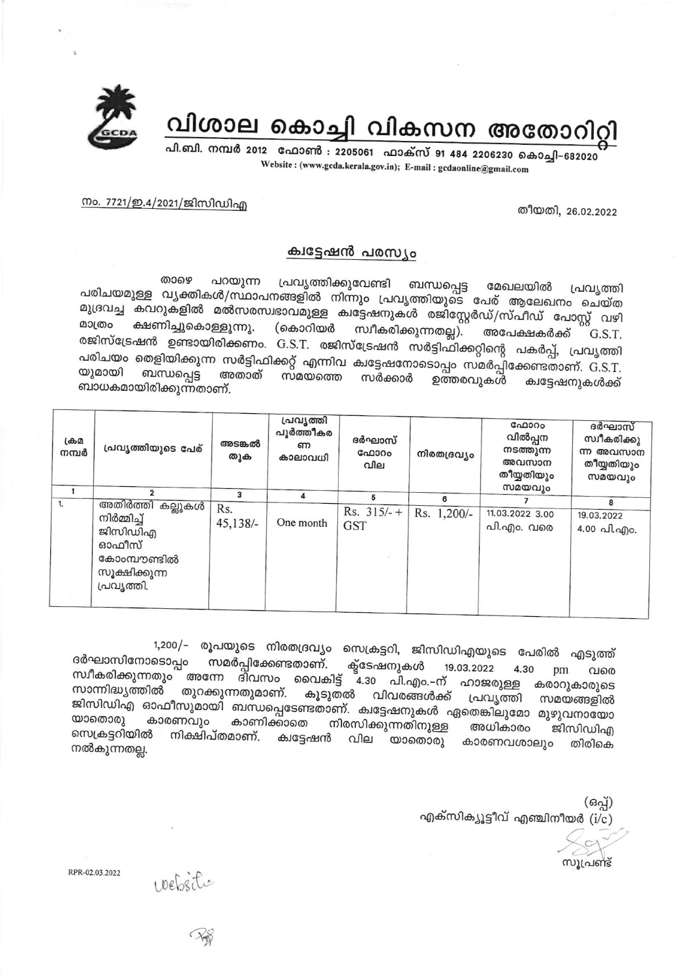

വിശാല കൊച്ചി വികസന അതോറിറ്റി

പി.ബി. നമ്പർ 2012 ഫോൺ : 2205061 ഫാക്സ് 91 484 2206230 കൊച്ചി-682020 Website: (www.gcda.kerala.gov.in); E-mail: gcdaonline@gmail.com

തീയതി, 26.02.2022

<u>നം. 7721/ഇ.4/2021/ജിസിഡിഎ</u>

## ക്വട്ടേഷൻ പരസ്യം

പ്രവൃത്തിക്കുവേണ്ടി ബന്ധപ്പെട്ട താഴെ പറയുന്ന മേഖലയിൽ പ്രവ്യത്തി പരിചയമുള്ള വൃക്തികൾ/സ്ഥാപനങ്ങളിൽ നിന്നും പ്രവൃത്തിയുടെ പേര് ആലേഖനം ചെയ്ത മുദ്രവച്ച കവറുകളിൽ മൽസരസ്വഭാവമുള്ള ക്വട്ടേഷനുകൾ രജിസ്റ്റേർഡ്/സ്പീഡ് പോസ്റ്റ് വഴി മാത്രം ക്ഷണിച്ചുകൊള്ളുന്നു. (കൊറിയർ സ്വീകരിക്കുന്നതല്ല). അപേക്ഷകർക്ക് G.S.T. രജിസ്ട്രേഷൻ ഉണ്ടായിരിക്കണം. G.S.T. രജിസ്ട്രേഷൻ സർട്ടിഫിക്കറ്റിന്റെ പകർപ്പ്, പ്രവൃത്തി പരിചയം തെളിയിക്കുന്ന സർട്ടിഫിക്കറ്റ് എന്നിവ ക്വട്ടേഷനോടൊപ്പം സമർപ്പിക്കേണ്ടതാണ്. G.S.T. ബന്ധപ്പെട്ട യുമായി അതാത് സമയത്തെ സർക്കാർ ഉത്തരവുകൾ ക്വട്ടേഷനുകൾക്ക് ബാധകമായിരിക്കുന്നതാണ്.

| ക്രമ<br>നമ്പർ | പ്രവൃത്തിയുടെ പേര്                                                                                   | അടങ്കൽ<br>തുക     | പ്രവൃത്തി<br>പൂർത്തീകര<br>ണ<br>കാലാവധി | ദർഘാസ്<br>ഫോറം<br>വില       | നിരതദ്രവ്യം | ഫോറം<br>വിൽപ്പന<br>നടത്തുന്ന<br>അവസാന<br>തീയ്യതിയും<br>സമയവും | ദർഘാസ്<br>സ്വീകരിക്കു<br>ന്ന അവസാന<br>തീയ്യതിയും<br>സമയവും |
|---------------|------------------------------------------------------------------------------------------------------|-------------------|----------------------------------------|-----------------------------|-------------|---------------------------------------------------------------|------------------------------------------------------------|
| 1.            |                                                                                                      | 3                 | Δ                                      | 5                           | 6           |                                                               | 8                                                          |
|               | അതിർത്തി കല്ലുകൾ l<br>നിർമ്മിച്ച്<br>ജിസിഡിഎ<br>ഓഫീസ്<br>കോംമ്പൗണ്ടിൽ<br>സൂക്ഷിക്കുന്ന<br>പ്രവൃത്തി. | Rs.<br>$45,138/-$ | One month                              | $Rs. 315/- +$<br><b>GST</b> | Rs. 1,200/- | 11.03.2022 3.00<br>പി.എം. വരെ                                 | 19.03.2022<br>4.00 പി.എo.                                  |

1,200/– രൂപയുടെ നിരതദ്രവ്യം സെക്രട്ടറി, ജിസിഡിഎയുടെ പേരിൽ എടുത്ത് ദർഘാസിനോടൊപ്പം സമർപ്പിക്കേണ്ടതാണ്. ക്ടേഷനുകൾ 19.03.2022 4.30 pm സ്ഥീകരിക്കുന്നതും അന്നേ ദിവസം വൈകിട്ട് 4.30 പി.എം.-ന് വരെ ഹാജരുള്ള കരാറുകാരുടെ സാന്നിദ്ധ്യത്തിൽ തുറക്കുന്നതുമാണ്. കൂടുതൽ വിവരങ്ങൾക്ക് പ്രവ്യത്തി സമയങ്ങളിൽ ജിസിഡിഎ ഓഫീസുമായി ബന്ധപ്പെടേണ്ടതാണ്. ക്വട്ടേഷനുകൾ ഏതെങ്കിലുമോ മുഴുവനായോ യാതൊരു കാരണവും കാണിക്കാതെ നിരസിക്കുന്നതിനുള്ള അധികാരം ജിസിഡിഎ സെക്രട്ടറിയിൽ നിക്ഷിപ്തമാണ്. ക്വട്ടേഷൻ വില യാതൊരു കാരണവശാലും തിരികെ നൽകുന്നതല്ല.

> (ഒപ്പ്) എക്സിക്യൂട്ടീവ് എഞ്ചിനീയർ ( $i/c$ )

സൂപ്രണ്ട്

website

RPR-02.03.2022